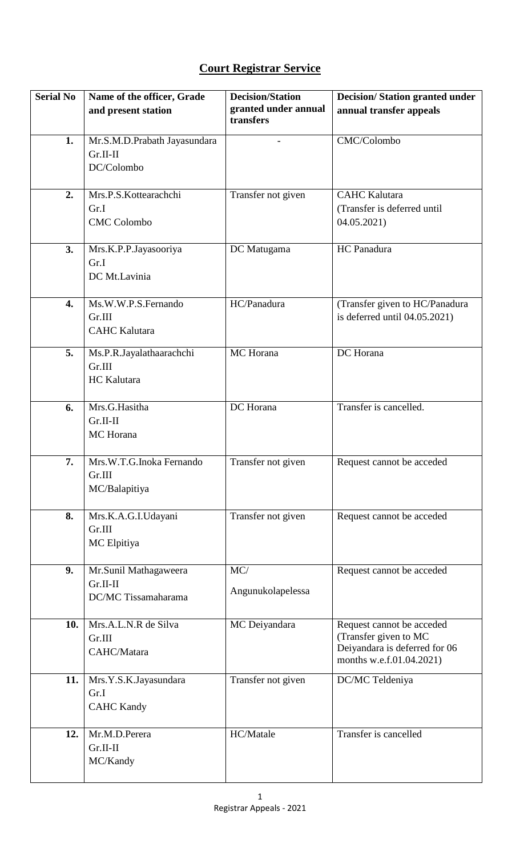## **Court Registrar Service**

| <b>Serial No</b> | Name of the officer, Grade<br>and present station | <b>Decision/Station</b><br>granted under annual | <b>Decision/Station granted under</b><br>annual transfer appeals |
|------------------|---------------------------------------------------|-------------------------------------------------|------------------------------------------------------------------|
|                  |                                                   | transfers                                       |                                                                  |
| 1.               | Mr.S.M.D.Prabath Jayasundara                      |                                                 | CMC/Colombo                                                      |
|                  | $Gr.II-II$<br>DC/Colombo                          |                                                 |                                                                  |
|                  |                                                   |                                                 |                                                                  |
| 2.               | Mrs.P.S.Kottearachchi<br>Gr.I                     | Transfer not given                              | <b>CAHC Kalutara</b><br>(Transfer is deferred until              |
|                  | <b>CMC</b> Colombo                                |                                                 | 04.05.2021)                                                      |
| 3.               | Mrs.K.P.P.Jayasooriya<br>Gr.I                     | DC Matugama                                     | HC Panadura                                                      |
|                  | DC Mt.Lavinia                                     |                                                 |                                                                  |
|                  |                                                   |                                                 |                                                                  |
| 4.               | Ms.W.W.P.S.Fernando<br>Gr.III                     | HC/Panadura                                     | (Transfer given to HC/Panadura<br>is deferred until 04.05.2021)  |
|                  | <b>CAHC</b> Kalutara                              |                                                 |                                                                  |
| 5.               | Ms.P.R.Jayalathaarachchi                          | MC Horana                                       | DC Horana                                                        |
|                  | Gr.III                                            |                                                 |                                                                  |
|                  | <b>HC</b> Kalutara                                |                                                 |                                                                  |
| 6.               | Mrs.G.Hasitha                                     | DC Horana                                       | Transfer is cancelled.                                           |
|                  | $Gr.II-II$<br>MC Horana                           |                                                 |                                                                  |
|                  |                                                   |                                                 |                                                                  |
| 7.               | Mrs.W.T.G.Inoka Fernando                          | Transfer not given                              | Request cannot be acceded                                        |
|                  | Gr.III<br>MC/Balapitiya                           |                                                 |                                                                  |
|                  |                                                   |                                                 |                                                                  |
| 8.               | Mrs.K.A.G.I.Udayani<br>Gr.III                     | Transfer not given                              | Request cannot be acceded                                        |
|                  | MC Elpitiya                                       |                                                 |                                                                  |
|                  |                                                   |                                                 |                                                                  |
| 9.               | Mr.Sunil Mathagaweera<br>$Gr.II-II$               | MC/                                             | Request cannot be acceded                                        |
|                  | DC/MC Tissamaharama                               | Angunukolapelessa                               |                                                                  |
| 10.              | Mrs.A.L.N.R de Silva                              | MC Deiyandara                                   | Request cannot be acceded                                        |
|                  | Gr.III                                            |                                                 | (Transfer given to MC                                            |
|                  | CAHC/Matara                                       |                                                 | Deiyandara is deferred for 06<br>months w.e.f.01.04.2021)        |
| 11.              | Mrs.Y.S.K.Jayasundara                             | Transfer not given                              | DC/MC Teldeniya                                                  |
|                  | Gr.I<br><b>CAHC Kandy</b>                         |                                                 |                                                                  |
|                  |                                                   |                                                 |                                                                  |
| 12.              | Mr.M.D.Perera<br>$Gr.II-II$                       | HC/Matale                                       | Transfer is cancelled                                            |
|                  | MC/Kandy                                          |                                                 |                                                                  |
|                  |                                                   |                                                 |                                                                  |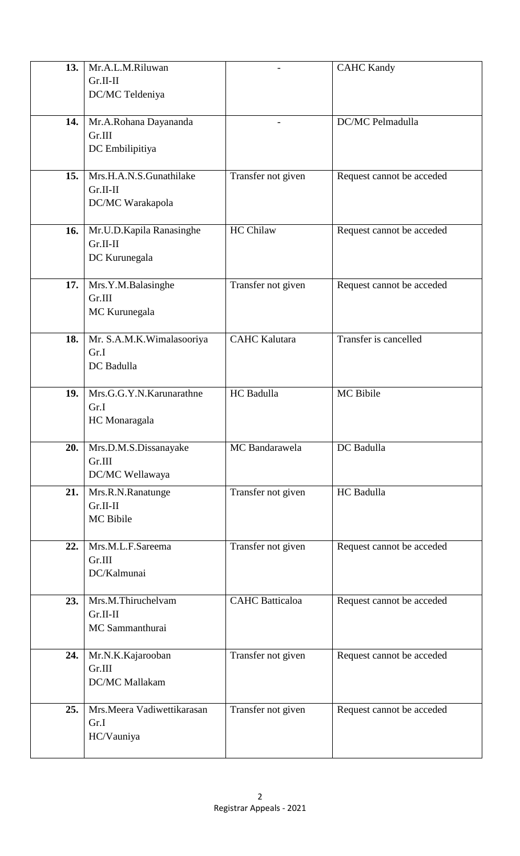| 13. | Mr.A.L.M.Riluwan           |                        | <b>CAHC Kandy</b>         |
|-----|----------------------------|------------------------|---------------------------|
|     | $Gr.II-II$                 |                        |                           |
|     | DC/MC Teldeniya            |                        |                           |
|     |                            |                        |                           |
| 14. | Mr.A.Rohana Dayananda      |                        | DC/MC Pelmadulla          |
|     | Gr.III                     |                        |                           |
|     | DC Embilipitiya            |                        |                           |
|     |                            |                        |                           |
| 15. | Mrs.H.A.N.S.Gunathilake    | Transfer not given     | Request cannot be acceded |
|     | $Gr.II-II$                 |                        |                           |
|     | DC/MC Warakapola           |                        |                           |
|     |                            |                        |                           |
| 16. | Mr.U.D.Kapila Ranasinghe   | <b>HC Chilaw</b>       | Request cannot be acceded |
|     | $Gr.II-II$                 |                        |                           |
|     | DC Kurunegala              |                        |                           |
|     |                            |                        |                           |
| 17. | Mrs.Y.M.Balasinghe         | Transfer not given     | Request cannot be acceded |
|     | Gr.III                     |                        |                           |
|     | MC Kurunegala              |                        |                           |
|     |                            |                        |                           |
| 18. | Mr. S.A.M.K.Wimalasooriya  | <b>CAHC Kalutara</b>   | Transfer is cancelled     |
|     | Gr.I                       |                        |                           |
|     | DC Badulla                 |                        |                           |
|     |                            |                        |                           |
| 19. | Mrs.G.G.Y.N.Karunarathne   | HC Badulla             | <b>MC</b> Bibile          |
|     | Gr.I                       |                        |                           |
|     | HC Monaragala              |                        |                           |
|     |                            |                        |                           |
| 20. | Mrs.D.M.S.Dissanayake      | MC Bandarawela         | DC Badulla                |
|     | Gr.III                     |                        |                           |
|     | DC/MC Wellawaya            |                        |                           |
| 21. | Mrs.R.N.Ranatunge          | Transfer not given     | HC Badulla                |
|     | $Gr.II-II$                 |                        |                           |
|     | MC Bibile                  |                        |                           |
|     |                            |                        |                           |
| 22. | Mrs.M.L.F.Sareema          | Transfer not given     | Request cannot be acceded |
|     | Gr.III                     |                        |                           |
|     | DC/Kalmunai                |                        |                           |
| 23. | Mrs.M.Thiruchelvam         | <b>CAHC</b> Batticaloa |                           |
|     | $Gr.II-II$                 |                        | Request cannot be acceded |
|     | MC Sammanthurai            |                        |                           |
|     |                            |                        |                           |
| 24. | Mr.N.K.Kajarooban          | Transfer not given     | Request cannot be acceded |
|     | Gr.III                     |                        |                           |
|     | DC/MC Mallakam             |                        |                           |
|     |                            |                        |                           |
| 25. | Mrs.Meera Vadiwettikarasan | Transfer not given     | Request cannot be acceded |
|     | Gr.I                       |                        |                           |
|     | HC/Vauniya                 |                        |                           |
|     |                            |                        |                           |
|     |                            |                        |                           |